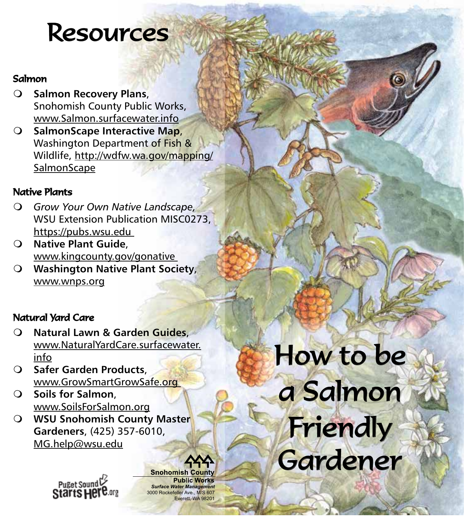### **Resources**

### Salmon

- **Salmon Recovery Plans,** Snohomish County Public Works, www.Salmon.surfacewater.info
- **SalmonScape Interactive Map,** Washington Department of Fish & Wildlife, [http://wdfw.wa.gov/mapping/](http://wdfw.wa.gov/mapping/SalmonScape) **[SalmonScape](http://wdfw.wa.gov/mapping/SalmonScape)**

### Native Plants

- *Grow Your Own Native Landscape,* WSU Extension Publication MISC0273, https://pubs.wsu.edu
- **Native Plant Guide**, www.kingcounty.gov/gonative
- **Washington Native Plant Society**, [www.wnps.org](http://www.wnps.org)

### Natural Yard Care

- **Natural Lawn & Garden Guides**, [www.NaturalYardCare.surfacewater.](http://www.NaturalYardCare.surfacewater.info) [info](http://www.NaturalYardCare.surfacewater.info)
- **Safer Garden Products**, www.GrowSmartGrowSafe.org
- **Soils for Salmon**, www.SoilsForSalmon.org
- **WSU Snohomish County Master Gardeners**, (425) 357-6010, MG.help@wsu.edu

Puget Sound<br>Starts Hel

**Snohomish County Public Works** *Surface Water Management* 3000 Rockefeller Ave., M/S 607 Everett, WA 98201

# How to be a Salmon Friendly Gardener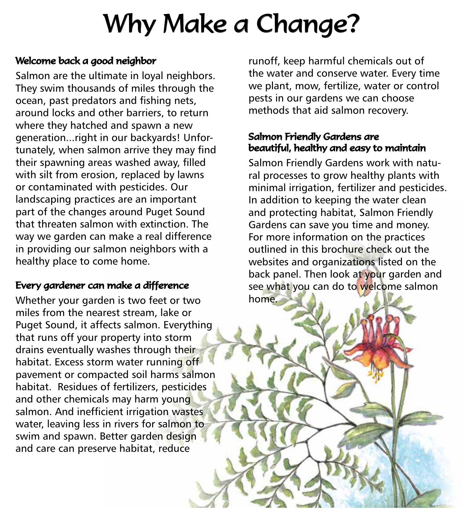## Why Make a Change?

#### Welcome back a good neighbor

Salmon are the ultimate in loyal neighbors. They swim thousands of miles through the ocean, past predators and fishing nets, around locks and other barriers, to return where they hatched and spawn a new generation...right in our backyards! Unfortunately, when salmon arrive they may find their spawning areas washed away, filled with silt from erosion, replaced by lawns or contaminated with pesticides. Our landscaping practices are an important part of the changes around Puget Sound that threaten salmon with extinction. The way we garden can make a real difference in providing our salmon neighbors with a healthy place to come home.

### Every gardener can make a difference

Whether your garden is two feet or two miles from the nearest stream, lake or Puget Sound, it affects salmon. Everything that runs off your property into storm drains eventually washes through their habitat. Excess storm water running off pavement or compacted soil harms salmon habitat. Residues of fertilizers, pesticides and other chemicals may harm young salmon. And inefficient irrigation wastes water, leaving less in rivers for salmon to swim and spawn. Better garden design and care can preserve habitat, reduce

runoff, keep harmful chemicals out of the water and conserve water. Every time we plant, mow, fertilize, water or control pests in our gardens we can choose methods that aid salmon recovery.

#### Salmon Friendly Gardens are beautiful, healthy and easy to maintain

Salmon Friendly Gardens work with natural processes to grow healthy plants with minimal irrigation, fertilizer and pesticides. In addition to keeping the water clean and protecting habitat, Salmon Friendly Gardens can save you time and money. For more information on the practices outlined in this brochure check out the websites and organizations listed on the back panel. Then look at your garden and see what you can do to welcome salmon home.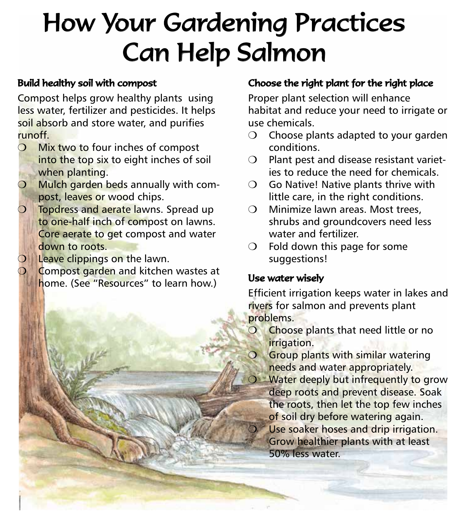### How Your Gardening Practices Can Help Salmon

#### Build healthy soil with compost

Compost helps grow healthy plants using less water, fertilizer and pesticides. It helps soil absorb and store water, and purifies runoff.

- $O$  Mix two to four inches of compost into the top six to eight inches of soil when planting.
- ❍ Mulch garden beds annually with compost, leaves or wood chips.
- **O** Topdress and aerate lawns. Spread up to one-half inch of compost on lawns. Core aerate to get compost and water down to roots.
- **Leave clippings on the lawn.**
- Compost garden and kitchen wastes at home. (See "Resources" to learn how.)

### Choose the right plant for the right place

Proper plant selection will enhance habitat and reduce your need to irrigate or use chemicals.

- $\bigcirc$  Choose plants adapted to your garden conditions.
- ❍ Plant pest and disease resistant varieties to reduce the need for chemicals.
- ❍ Go Native! Native plants thrive with little care, in the right conditions.
- ❍ Minimize lawn areas. Most trees, shrubs and groundcovers need less water and fertilizer.
- $O$  Fold down this page for some suggestions!

#### Use water wisely

Efficient irrigation keeps water in lakes and rivers for salmon and prevents plant problems.

- **O** Choose plants that need little or no irrigation.
- ❍ Group plants with similar watering needs and water appropriately.
- ❍ Water deeply but infrequently to grow deep roots and prevent disease. Soak the roots, then let the top few inches of soil dry before watering again. Use soaker hoses and drip irrigation. Grow healthier plants with at least 50% less water.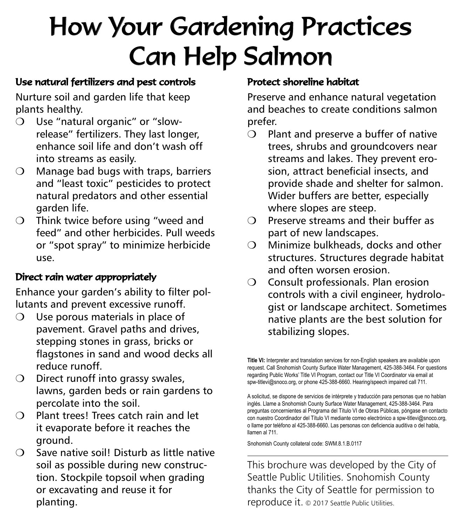## How Your Gardening Practices Can Help Salmon

### Use natural fertilizers and pest controls

Nurture soil and garden life that keep plants healthy.

- ❍ Use "natural organic" or "slowrelease" fertilizers. They last longer, enhance soil life and don't wash off into streams as easily.
- $\bigcirc$  Manage bad bugs with traps, barriers and "least toxic" pesticides to protect natural predators and other essential garden life.
- ❍ Think twice before using "weed and feed" and other herbicides. Pull weeds or "spot spray" to minimize herbicide use.

### Direct rain water appropriately

Enhance your garden's ability to filter pollutants and prevent excessive runoff.

- Use porous materials in place of pavement. Gravel paths and drives, stepping stones in grass, bricks or flagstones in sand and wood decks all reduce runoff.
- $\bigcirc$  Direct runoff into grassy swales, lawns, garden beds or rain gardens to percolate into the soil.
- ❍ Plant trees! Trees catch rain and let it evaporate before it reaches the ground.
- ❍ Save native soil! Disturb as little native soil as possible during new construction. Stockpile topsoil when grading or excavating and reuse it for planting.

### Protect shoreline habitat

Preserve and enhance natural vegetation and beaches to create conditions salmon prefer.

- ❍ Plant and preserve a buffer of native trees, shrubs and groundcovers near streams and lakes. They prevent erosion, attract beneficial insects, and provide shade and shelter for salmon. Wider buffers are better, especially where slopes are steep.
- ❍ Preserve streams and their buffer as part of new landscapes.
- $\bigcirc$  Minimize bulkheads, docks and other structures. Structures degrade habitat and often worsen erosion.
- ❍ Consult professionals. Plan erosion controls with a civil engineer, hydrologist or landscape architect. Sometimes native plants are the best solution for stabilizing slopes.

**Title VI:** Interpreter and translation services for non-English speakers are available upon request. Call Snohomish County Surface Water Management, 425-388-3464. For questions regarding Public Works' Title VI Program, contact our Title VI Coordinator via email at spw-titlevi@snoco.org, or phone 425-388-6660. Hearing/speech impaired call 711.

A solicitud, se dispone de servicios de intérprete y traducción para personas que no hablan inglés. Llame a Snohomish County Surface Water Management, 425-388-3464. Para preguntas concernientes al Programa del Título VI de Obras Públicas, póngase en contacto con nuestro Coordinador del Título VI mediante correo electrónico a spw-titlevi@snoco.org, o llame por teléfono al 425-388-6660. Las personas con deficiencia auditiva o del habla, llamen al 711.

Snohomish County collateral code: SWM.8.1.B.0117

This brochure was developed by the City of Seattle Public Utilities. Snohomish County thanks the City of Seattle for permission to reproduce it. © 2017 Seattle Public Utilities.